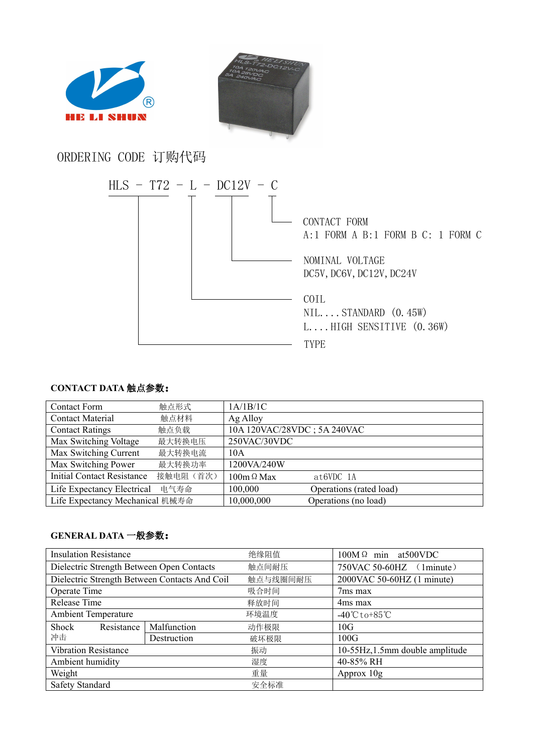



## ORDERING CODE 订购代码



## **CONTACT DATA** 触点参数:

| <b>Contact Form</b>               | 触点形式      | 1A/1B/1C                    |                         |  |
|-----------------------------------|-----------|-----------------------------|-------------------------|--|
| <b>Contact Material</b>           | 触点材料      | Ag Alloy                    |                         |  |
| <b>Contact Ratings</b>            | 触点负载      | 10A 120VAC/28VDC; 5A 240VAC |                         |  |
| Max Switching Voltage             | 最大转换电压    | 250VAC/30VDC                |                         |  |
| Max Switching Current             | 最大转换电流    | 10A                         |                         |  |
| Max Switching Power               | 最大转换功率    | 1200VA/240W                 |                         |  |
| <b>Initial Contact Resistance</b> | 接触电阻 (首次) | $100m \Omega$ Max           | $at6VDC$ 1A             |  |
| Life Expectancy Electrical        | 电气寿命      | 100,000                     | Operations (rated load) |  |
| Life Expectancy Mechanical 机械寿命   |           | 10,000,000                  | Operations (no load)    |  |

## **GENERAL DATA** 一般参数:

| <b>Insulation Resistance</b>                  |             | 绝缘阻值     | $100M\Omega$ min at 500 VDC       |  |
|-----------------------------------------------|-------------|----------|-----------------------------------|--|
| Dielectric Strength Between Open Contacts     |             | 触点间耐压    | 750VAC 50-60HZ<br>$(1$ minute $)$ |  |
| Dielectric Strength Between Contacts And Coil |             | 触点与线圈间耐压 | 2000VAC 50-60HZ (1 minute)        |  |
| Operate Time                                  |             | 吸合时间     | 7 <sub>ms</sub> max               |  |
| Release Time                                  |             | 释放时间     | 4ms max                           |  |
| <b>Ambient Temperature</b>                    |             | 环境温度     | $-40^{\circ}$ Cto+85 $^{\circ}$ C |  |
| Shock<br>Resistance                           | Malfunction | 动作极限     | 10G                               |  |
| 冲击                                            | Destruction | 破坏极限     | 100G                              |  |
| <b>Vibration Resistance</b>                   |             | 振动       | 10-55Hz, 1.5mm double amplitude   |  |
| Ambient humidity                              |             | 湿度       | 40-85% RH                         |  |
| Weight                                        |             | 重量       | Approx 10g                        |  |
| <b>Safety Standard</b>                        |             | 安全标准     |                                   |  |